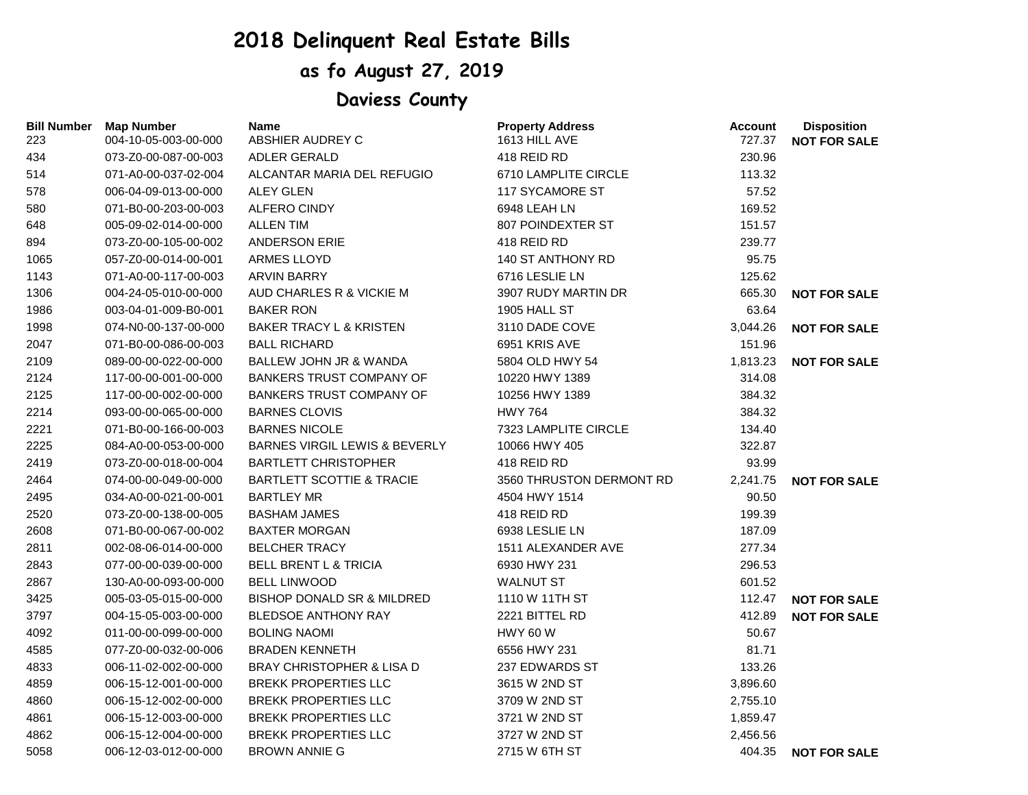## **2018 Delinquent Real Estate Bills**

## **as fo August 27, 2019**

## **Daviess County**

| <b>Bill Number</b> | <b>Map Number</b>    | <b>Name</b>                              | <b>Property Address</b>  | <b>Account</b> | <b>Disposition</b>  |
|--------------------|----------------------|------------------------------------------|--------------------------|----------------|---------------------|
| 223                | 004-10-05-003-00-000 | ABSHIER AUDREY C                         | 1613 HILL AVE            | 727.37         | <b>NOT FOR SALE</b> |
| 434                | 073-Z0-00-087-00-003 | <b>ADLER GERALD</b>                      | 418 REID RD              | 230.96         |                     |
| 514                | 071-A0-00-037-02-004 | ALCANTAR MARIA DEL REFUGIO               | 6710 LAMPLITE CIRCLE     | 113.32         |                     |
| 578                | 006-04-09-013-00-000 | <b>ALEY GLEN</b>                         | 117 SYCAMORE ST          | 57.52          |                     |
| 580                | 071-B0-00-203-00-003 | <b>ALFERO CINDY</b>                      | 6948 LEAH LN             | 169.52         |                     |
| 648                | 005-09-02-014-00-000 | <b>ALLEN TIM</b>                         | 807 POINDEXTER ST        | 151.57         |                     |
| 894                | 073-Z0-00-105-00-002 | <b>ANDERSON ERIE</b>                     | 418 REID RD              | 239.77         |                     |
| 1065               | 057-Z0-00-014-00-001 | ARMES LLOYD                              | 140 ST ANTHONY RD        | 95.75          |                     |
| 1143               | 071-A0-00-117-00-003 | ARVIN BARRY                              | 6716 LESLIE LN           | 125.62         |                     |
| 1306               | 004-24-05-010-00-000 | AUD CHARLES R & VICKIE M                 | 3907 RUDY MARTIN DR      | 665.30         | <b>NOT FOR SALE</b> |
| 1986               | 003-04-01-009-B0-001 | <b>BAKER RON</b>                         | <b>1905 HALL ST</b>      | 63.64          |                     |
| 1998               | 074-N0-00-137-00-000 | <b>BAKER TRACY L &amp; KRISTEN</b>       | 3110 DADE COVE           | 3,044.26       | <b>NOT FOR SALE</b> |
| 2047               | 071-B0-00-086-00-003 | <b>BALL RICHARD</b>                      | 6951 KRIS AVE            | 151.96         |                     |
| 2109               | 089-00-00-022-00-000 | BALLEW JOHN JR & WANDA                   | 5804 OLD HWY 54          | 1,813.23       | <b>NOT FOR SALE</b> |
| 2124               | 117-00-00-001-00-000 | <b>BANKERS TRUST COMPANY OF</b>          | 10220 HWY 1389           | 314.08         |                     |
| 2125               | 117-00-00-002-00-000 | <b>BANKERS TRUST COMPANY OF</b>          | 10256 HWY 1389           | 384.32         |                     |
| 2214               | 093-00-00-065-00-000 | <b>BARNES CLOVIS</b>                     | <b>HWY 764</b>           | 384.32         |                     |
| 2221               | 071-B0-00-166-00-003 | <b>BARNES NICOLE</b>                     | 7323 LAMPLITE CIRCLE     | 134.40         |                     |
| 2225               | 084-A0-00-053-00-000 | <b>BARNES VIRGIL LEWIS &amp; BEVERLY</b> | 10066 HWY 405            | 322.87         |                     |
| 2419               | 073-Z0-00-018-00-004 | <b>BARTLETT CHRISTOPHER</b>              | 418 REID RD              | 93.99          |                     |
| 2464               | 074-00-00-049-00-000 | <b>BARTLETT SCOTTIE &amp; TRACIE</b>     | 3560 THRUSTON DERMONT RD | 2,241.75       | <b>NOT FOR SALE</b> |
| 2495               | 034-A0-00-021-00-001 | <b>BARTLEY MR</b>                        | 4504 HWY 1514            | 90.50          |                     |
| 2520               | 073-Z0-00-138-00-005 | <b>BASHAM JAMES</b>                      | 418 REID RD              | 199.39         |                     |
| 2608               | 071-B0-00-067-00-002 | <b>BAXTER MORGAN</b>                     | 6938 LESLIE LN           | 187.09         |                     |
| 2811               | 002-08-06-014-00-000 | <b>BELCHER TRACY</b>                     | 1511 ALEXANDER AVE       | 277.34         |                     |
| 2843               | 077-00-00-039-00-000 | <b>BELL BRENT L &amp; TRICIA</b>         | 6930 HWY 231             | 296.53         |                     |
| 2867               | 130-A0-00-093-00-000 | <b>BELL LINWOOD</b>                      | <b>WALNUT ST</b>         | 601.52         |                     |
| 3425               | 005-03-05-015-00-000 | <b>BISHOP DONALD SR &amp; MILDRED</b>    | 1110 W 11TH ST           | 112.47         | <b>NOT FOR SALE</b> |
| 3797               | 004-15-05-003-00-000 | <b>BLEDSOE ANTHONY RAY</b>               | 2221 BITTEL RD           | 412.89         | <b>NOT FOR SALE</b> |
| 4092               | 011-00-00-099-00-000 | <b>BOLING NAOMI</b>                      | <b>HWY 60 W</b>          | 50.67          |                     |
| 4585               | 077-Z0-00-032-00-006 | <b>BRADEN KENNETH</b>                    | 6556 HWY 231             | 81.71          |                     |
| 4833               | 006-11-02-002-00-000 | <b>BRAY CHRISTOPHER &amp; LISA D</b>     | 237 EDWARDS ST           | 133.26         |                     |
| 4859               | 006-15-12-001-00-000 | <b>BREKK PROPERTIES LLC</b>              | 3615 W 2ND ST            | 3,896.60       |                     |
| 4860               | 006-15-12-002-00-000 | <b>BREKK PROPERTIES LLC</b>              | 3709 W 2ND ST            | 2,755.10       |                     |
| 4861               | 006-15-12-003-00-000 | <b>BREKK PROPERTIES LLC</b>              | 3721 W 2ND ST            | 1,859.47       |                     |
| 4862               | 006-15-12-004-00-000 | <b>BREKK PROPERTIES LLC</b>              | 3727 W 2ND ST            | 2,456.56       |                     |
| 5058               | 006-12-03-012-00-000 | <b>BROWN ANNIE G</b>                     | 2715 W 6TH ST            | 404.35         | <b>NOT FOR SALE</b> |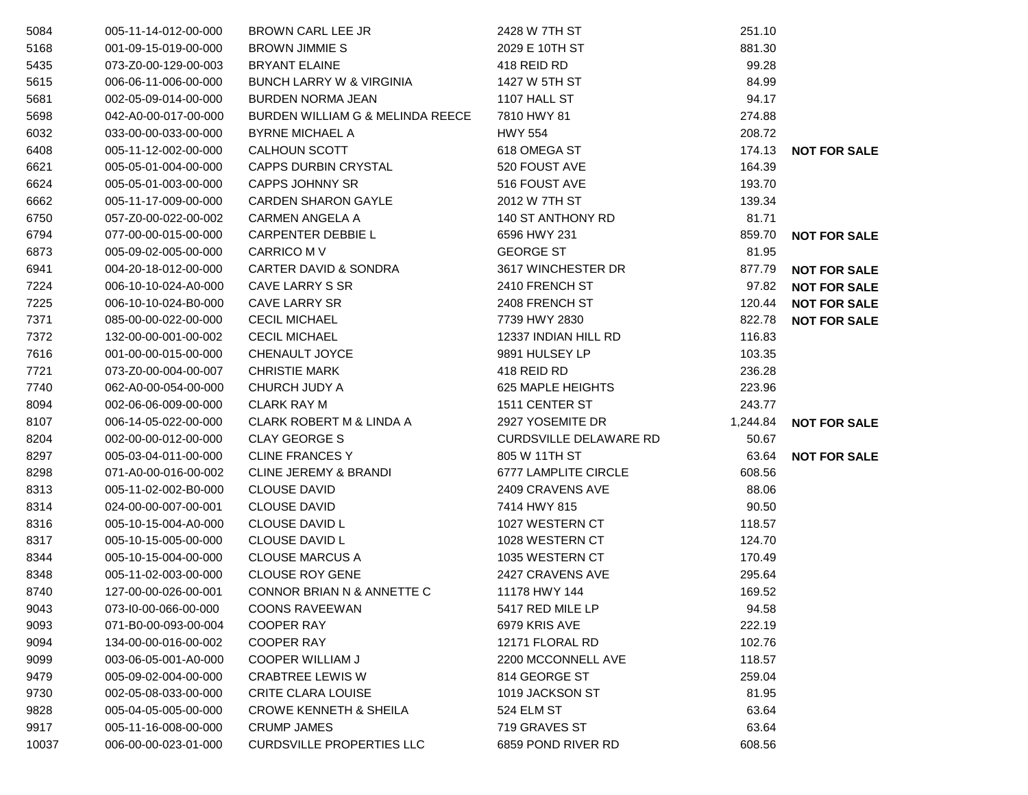| 5084  | 005-11-14-012-00-000 | <b>BROWN CARL LEE JR</b>            | 2428 W 7TH ST                 | 251.10   |                     |
|-------|----------------------|-------------------------------------|-------------------------------|----------|---------------------|
| 5168  | 001-09-15-019-00-000 | <b>BROWN JIMMIE S</b>               | 2029 E 10TH ST                | 881.30   |                     |
| 5435  | 073-Z0-00-129-00-003 | <b>BRYANT ELAINE</b>                | 418 REID RD                   | 99.28    |                     |
| 5615  | 006-06-11-006-00-000 | <b>BUNCH LARRY W &amp; VIRGINIA</b> | 1427 W 5TH ST                 | 84.99    |                     |
| 5681  | 002-05-09-014-00-000 | <b>BURDEN NORMA JEAN</b>            | 1107 HALL ST                  | 94.17    |                     |
| 5698  | 042-A0-00-017-00-000 | BURDEN WILLIAM G & MELINDA REECE    | 7810 HWY 81                   | 274.88   |                     |
| 6032  | 033-00-00-033-00-000 | <b>BYRNE MICHAEL A</b>              | <b>HWY 554</b>                | 208.72   |                     |
| 6408  | 005-11-12-002-00-000 | CALHOUN SCOTT                       | 618 OMEGA ST                  | 174.13   | <b>NOT FOR SALE</b> |
| 6621  | 005-05-01-004-00-000 | <b>CAPPS DURBIN CRYSTAL</b>         | 520 FOUST AVE                 | 164.39   |                     |
| 6624  | 005-05-01-003-00-000 | <b>CAPPS JOHNNY SR</b>              | 516 FOUST AVE                 | 193.70   |                     |
| 6662  | 005-11-17-009-00-000 | <b>CARDEN SHARON GAYLE</b>          | 2012 W 7TH ST                 | 139.34   |                     |
| 6750  | 057-Z0-00-022-00-002 | <b>CARMEN ANGELA A</b>              | 140 ST ANTHONY RD             | 81.71    |                     |
| 6794  | 077-00-00-015-00-000 | <b>CARPENTER DEBBIE L</b>           | 6596 HWY 231                  | 859.70   | <b>NOT FOR SALE</b> |
| 6873  | 005-09-02-005-00-000 | CARRICO M V                         | <b>GEORGE ST</b>              | 81.95    |                     |
| 6941  | 004-20-18-012-00-000 | <b>CARTER DAVID &amp; SONDRA</b>    | 3617 WINCHESTER DR            | 877.79   | <b>NOT FOR SALE</b> |
| 7224  | 006-10-10-024-A0-000 | CAVE LARRY S SR                     | 2410 FRENCH ST                | 97.82    | <b>NOT FOR SALE</b> |
| 7225  | 006-10-10-024-B0-000 | <b>CAVE LARRY SR</b>                | 2408 FRENCH ST                | 120.44   | <b>NOT FOR SALE</b> |
| 7371  | 085-00-00-022-00-000 | <b>CECIL MICHAEL</b>                | 7739 HWY 2830                 | 822.78   | <b>NOT FOR SALE</b> |
| 7372  | 132-00-00-001-00-002 | <b>CECIL MICHAEL</b>                | 12337 INDIAN HILL RD          | 116.83   |                     |
| 7616  | 001-00-00-015-00-000 | CHENAULT JOYCE                      | 9891 HULSEY LP                | 103.35   |                     |
| 7721  | 073-Z0-00-004-00-007 | <b>CHRISTIE MARK</b>                | 418 REID RD                   | 236.28   |                     |
| 7740  | 062-A0-00-054-00-000 | CHURCH JUDY A                       | 625 MAPLE HEIGHTS             | 223.96   |                     |
| 8094  | 002-06-06-009-00-000 | <b>CLARK RAY M</b>                  | 1511 CENTER ST                | 243.77   |                     |
| 8107  | 006-14-05-022-00-000 | <b>CLARK ROBERT M &amp; LINDA A</b> | 2927 YOSEMITE DR              | 1,244.84 | <b>NOT FOR SALE</b> |
| 8204  | 002-00-00-012-00-000 | <b>CLAY GEORGE S</b>                | <b>CURDSVILLE DELAWARE RD</b> | 50.67    |                     |
| 8297  | 005-03-04-011-00-000 | <b>CLINE FRANCES Y</b>              | 805 W 11TH ST                 | 63.64    | <b>NOT FOR SALE</b> |
| 8298  | 071-A0-00-016-00-002 | <b>CLINE JEREMY &amp; BRANDI</b>    | 6777 LAMPLITE CIRCLE          | 608.56   |                     |
| 8313  | 005-11-02-002-B0-000 | <b>CLOUSE DAVID</b>                 | 2409 CRAVENS AVE              | 88.06    |                     |
| 8314  | 024-00-00-007-00-001 | <b>CLOUSE DAVID</b>                 | 7414 HWY 815                  | 90.50    |                     |
| 8316  | 005-10-15-004-A0-000 | <b>CLOUSE DAVID L</b>               | 1027 WESTERN CT               | 118.57   |                     |
| 8317  | 005-10-15-005-00-000 | CLOUSE DAVID L                      | 1028 WESTERN CT               | 124.70   |                     |
| 8344  | 005-10-15-004-00-000 | <b>CLOUSE MARCUS A</b>              | 1035 WESTERN CT               | 170.49   |                     |
| 8348  | 005-11-02-003-00-000 | <b>CLOUSE ROY GENE</b>              | 2427 CRAVENS AVE              | 295.64   |                     |
| 8740  | 127-00-00-026-00-001 | CONNOR BRIAN N & ANNETTE C          | 11178 HWY 144                 | 169.52   |                     |
| 9043  | 073-I0-00-066-00-000 | COONS RAVEEWAN                      | 5417 RED MILE LP              | 94.58    |                     |
| 9093  | 071-B0-00-093-00-004 | <b>COOPER RAY</b>                   | 6979 KRIS AVE                 | 222.19   |                     |
| 9094  | 134-00-00-016-00-002 | <b>COOPER RAY</b>                   | 12171 FLORAL RD               | 102.76   |                     |
| 9099  | 003-06-05-001-A0-000 | <b>COOPER WILLIAM J</b>             | 2200 MCCONNELL AVE            | 118.57   |                     |
| 9479  | 005-09-02-004-00-000 | <b>CRABTREE LEWIS W</b>             | 814 GEORGE ST                 | 259.04   |                     |
| 9730  | 002-05-08-033-00-000 | <b>CRITE CLARA LOUISE</b>           | 1019 JACKSON ST               | 81.95    |                     |
| 9828  | 005-04-05-005-00-000 | <b>CROWE KENNETH &amp; SHEILA</b>   | 524 ELM ST                    | 63.64    |                     |
| 9917  | 005-11-16-008-00-000 | <b>CRUMP JAMES</b>                  | 719 GRAVES ST                 | 63.64    |                     |
| 10037 | 006-00-00-023-01-000 | <b>CURDSVILLE PROPERTIES LLC</b>    | 6859 POND RIVER RD            | 608.56   |                     |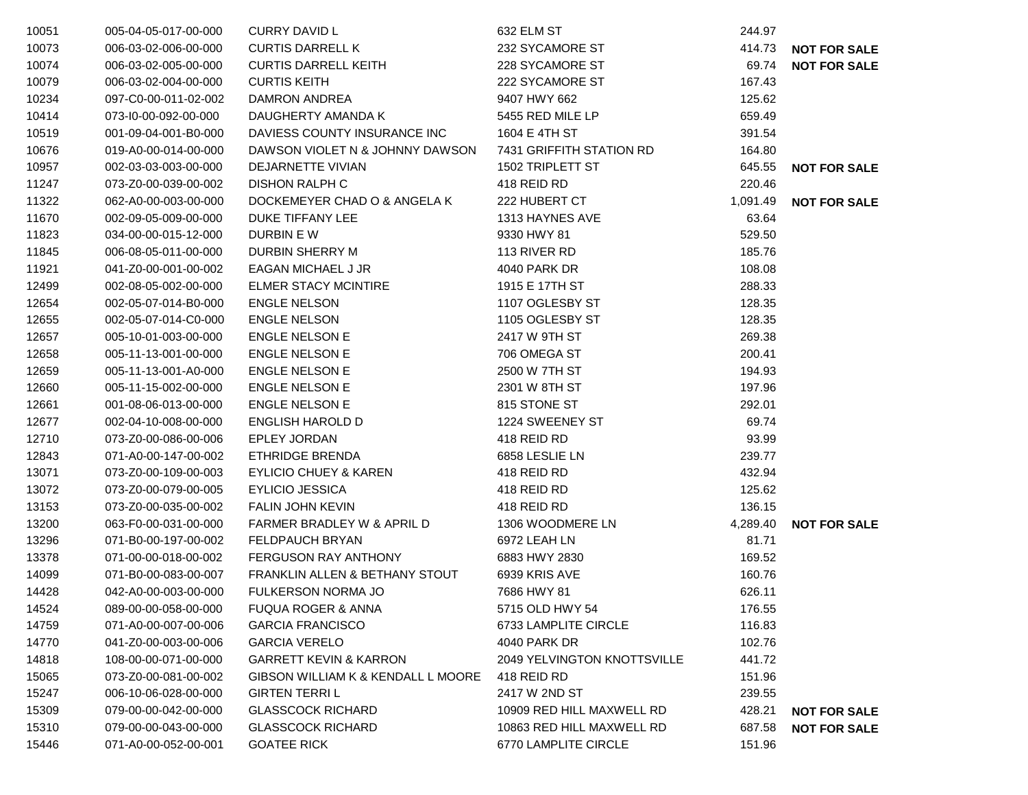| 10051 | 005-04-05-017-00-000 | <b>CURRY DAVID L</b>                          | 632 ELM ST                         | 244.97   |                     |
|-------|----------------------|-----------------------------------------------|------------------------------------|----------|---------------------|
| 10073 | 006-03-02-006-00-000 | <b>CURTIS DARRELL K</b>                       | 232 SYCAMORE ST                    | 414.73   | <b>NOT FOR SALE</b> |
| 10074 | 006-03-02-005-00-000 | <b>CURTIS DARRELL KEITH</b>                   | 228 SYCAMORE ST                    | 69.74    | <b>NOT FOR SALE</b> |
| 10079 | 006-03-02-004-00-000 | <b>CURTIS KEITH</b>                           | 222 SYCAMORE ST                    | 167.43   |                     |
| 10234 | 097-C0-00-011-02-002 | <b>DAMRON ANDREA</b>                          | 9407 HWY 662                       | 125.62   |                     |
| 10414 | 073-10-00-092-00-000 | DAUGHERTY AMANDA K                            | 5455 RED MILE LP                   | 659.49   |                     |
| 10519 | 001-09-04-001-B0-000 | DAVIESS COUNTY INSURANCE INC                  | 1604 E 4TH ST                      | 391.54   |                     |
| 10676 | 019-A0-00-014-00-000 | DAWSON VIOLET N & JOHNNY DAWSON               | 7431 GRIFFITH STATION RD           | 164.80   |                     |
| 10957 | 002-03-03-003-00-000 | DEJARNETTE VIVIAN                             | 1502 TRIPLETT ST                   | 645.55   | <b>NOT FOR SALE</b> |
| 11247 | 073-Z0-00-039-00-002 | <b>DISHON RALPH C</b>                         | 418 REID RD                        | 220.46   |                     |
| 11322 | 062-A0-00-003-00-000 | DOCKEMEYER CHAD O & ANGELA K                  | 222 HUBERT CT                      | 1,091.49 | <b>NOT FOR SALE</b> |
| 11670 | 002-09-05-009-00-000 | DUKE TIFFANY LEE                              | 1313 HAYNES AVE                    | 63.64    |                     |
| 11823 | 034-00-00-015-12-000 | DURBIN E W                                    | 9330 HWY 81                        | 529.50   |                     |
| 11845 | 006-08-05-011-00-000 | DURBIN SHERRY M                               | 113 RIVER RD                       | 185.76   |                     |
| 11921 | 041-Z0-00-001-00-002 | EAGAN MICHAEL J JR                            | 4040 PARK DR                       | 108.08   |                     |
| 12499 | 002-08-05-002-00-000 | <b>ELMER STACY MCINTIRE</b>                   | 1915 E 17TH ST                     | 288.33   |                     |
| 12654 | 002-05-07-014-B0-000 | <b>ENGLE NELSON</b>                           | 1107 OGLESBY ST                    | 128.35   |                     |
| 12655 | 002-05-07-014-C0-000 | <b>ENGLE NELSON</b>                           | 1105 OGLESBY ST                    | 128.35   |                     |
| 12657 | 005-10-01-003-00-000 | <b>ENGLE NELSON E</b>                         | 2417 W 9TH ST                      | 269.38   |                     |
| 12658 | 005-11-13-001-00-000 | <b>ENGLE NELSON E</b>                         | 706 OMEGA ST                       | 200.41   |                     |
| 12659 | 005-11-13-001-A0-000 | <b>ENGLE NELSON E</b>                         | 2500 W 7TH ST                      | 194.93   |                     |
| 12660 | 005-11-15-002-00-000 | <b>ENGLE NELSON E</b>                         | 2301 W 8TH ST                      | 197.96   |                     |
| 12661 | 001-08-06-013-00-000 | <b>ENGLE NELSON E</b>                         | 815 STONE ST                       | 292.01   |                     |
| 12677 | 002-04-10-008-00-000 | <b>ENGLISH HAROLD D</b>                       | 1224 SWEENEY ST                    | 69.74    |                     |
| 12710 | 073-Z0-00-086-00-006 | <b>EPLEY JORDAN</b>                           | 418 REID RD                        | 93.99    |                     |
| 12843 | 071-A0-00-147-00-002 | ETHRIDGE BRENDA                               | 6858 LESLIE LN                     | 239.77   |                     |
| 13071 | 073-Z0-00-109-00-003 | <b>EYLICIO CHUEY &amp; KAREN</b>              | 418 REID RD                        | 432.94   |                     |
| 13072 | 073-Z0-00-079-00-005 | <b>EYLICIO JESSICA</b>                        | 418 REID RD                        | 125.62   |                     |
| 13153 | 073-Z0-00-035-00-002 | <b>FALIN JOHN KEVIN</b>                       | 418 REID RD                        | 136.15   |                     |
| 13200 | 063-F0-00-031-00-000 | FARMER BRADLEY W & APRIL D                    | 1306 WOODMERE LN                   | 4,289.40 | <b>NOT FOR SALE</b> |
| 13296 | 071-B0-00-197-00-002 | <b>FELDPAUCH BRYAN</b>                        | 6972 LEAH LN                       | 81.71    |                     |
| 13378 | 071-00-00-018-00-002 | <b>FERGUSON RAY ANTHONY</b>                   | 6883 HWY 2830                      | 169.52   |                     |
| 14099 | 071-B0-00-083-00-007 | FRANKLIN ALLEN & BETHANY STOUT                | 6939 KRIS AVE                      | 160.76   |                     |
| 14428 | 042-A0-00-003-00-000 | FULKERSON NORMA JO                            | 7686 HWY 81                        | 626.11   |                     |
| 14524 | 089-00-00-058-00-000 | <b>FUQUA ROGER &amp; ANNA</b>                 | 5715 OLD HWY 54                    | 176.55   |                     |
| 14759 | 071-A0-00-007-00-006 | <b>GARCIA FRANCISCO</b>                       | 6733 LAMPLITE CIRCLE               | 116.83   |                     |
| 14770 | 041-Z0-00-003-00-006 | <b>GARCIA VERELO</b>                          | 4040 PARK DR                       | 102.76   |                     |
| 14818 | 108-00-00-071-00-000 | <b>GARRETT KEVIN &amp; KARRON</b>             | <b>2049 YELVINGTON KNOTTSVILLE</b> | 441.72   |                     |
| 15065 | 073-Z0-00-081-00-002 | <b>GIBSON WILLIAM K &amp; KENDALL L MOORE</b> | 418 REID RD                        | 151.96   |                     |
| 15247 | 006-10-06-028-00-000 | <b>GIRTEN TERRIL</b>                          | 2417 W 2ND ST                      | 239.55   |                     |
| 15309 | 079-00-00-042-00-000 | <b>GLASSCOCK RICHARD</b>                      | 10909 RED HILL MAXWELL RD          | 428.21   | <b>NOT FOR SALE</b> |
| 15310 | 079-00-00-043-00-000 | <b>GLASSCOCK RICHARD</b>                      | 10863 RED HILL MAXWELL RD          | 687.58   | <b>NOT FOR SALE</b> |
| 15446 | 071-A0-00-052-00-001 | <b>GOATEE RICK</b>                            | 6770 LAMPLITE CIRCLE               | 151.96   |                     |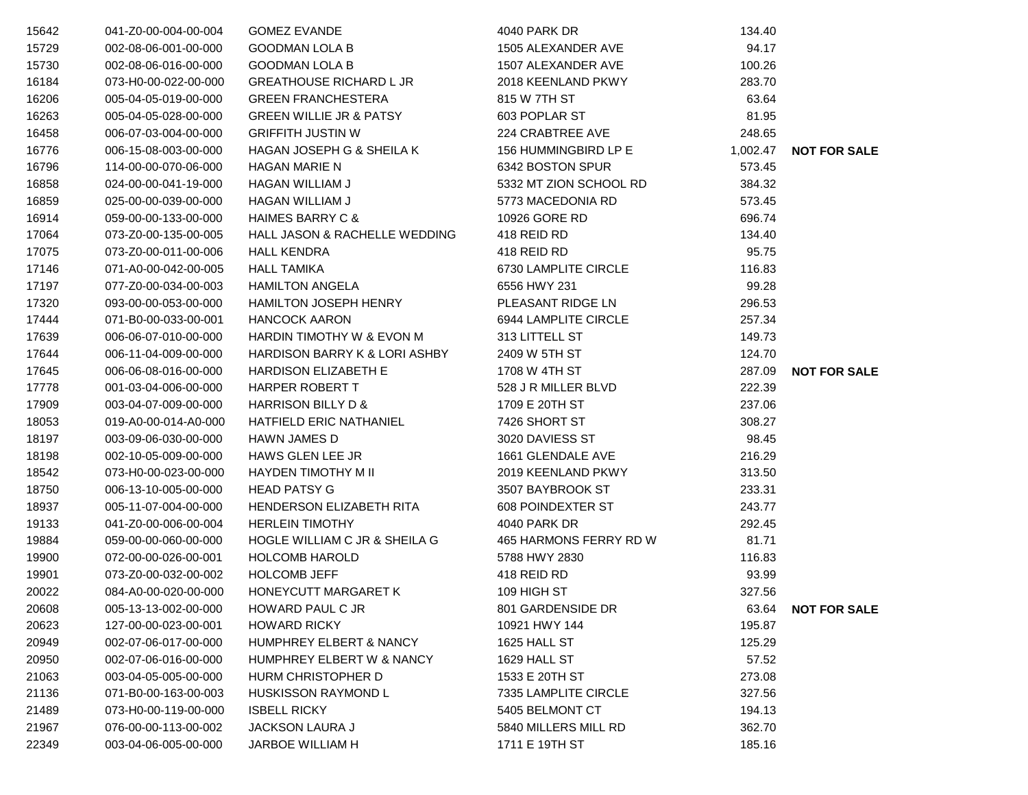| 15642 | 041-Z0-00-004-00-004 | <b>GOMEZ EVANDE</b>                      | 4040 PARK DR           | 134.40   |                     |
|-------|----------------------|------------------------------------------|------------------------|----------|---------------------|
| 15729 | 002-08-06-001-00-000 | <b>GOODMAN LOLA B</b>                    | 1505 ALEXANDER AVE     | 94.17    |                     |
| 15730 | 002-08-06-016-00-000 | <b>GOODMAN LOLA B</b>                    | 1507 ALEXANDER AVE     | 100.26   |                     |
| 16184 | 073-H0-00-022-00-000 | <b>GREATHOUSE RICHARD L JR</b>           | 2018 KEENLAND PKWY     | 283.70   |                     |
| 16206 | 005-04-05-019-00-000 | <b>GREEN FRANCHESTERA</b>                | 815 W 7TH ST           | 63.64    |                     |
| 16263 | 005-04-05-028-00-000 | <b>GREEN WILLIE JR &amp; PATSY</b>       | 603 POPLAR ST          | 81.95    |                     |
| 16458 | 006-07-03-004-00-000 | <b>GRIFFITH JUSTIN W</b>                 | 224 CRABTREE AVE       | 248.65   |                     |
| 16776 | 006-15-08-003-00-000 | HAGAN JOSEPH G & SHEILA K                | 156 HUMMINGBIRD LP E   | 1,002.47 | <b>NOT FOR SALE</b> |
| 16796 | 114-00-00-070-06-000 | <b>HAGAN MARIE N</b>                     | 6342 BOSTON SPUR       | 573.45   |                     |
| 16858 | 024-00-00-041-19-000 | <b>HAGAN WILLIAM J</b>                   | 5332 MT ZION SCHOOL RD | 384.32   |                     |
| 16859 | 025-00-00-039-00-000 | <b>HAGAN WILLIAM J</b>                   | 5773 MACEDONIA RD      | 573.45   |                     |
| 16914 | 059-00-00-133-00-000 | <b>HAIMES BARRY C &amp;</b>              | 10926 GORE RD          | 696.74   |                     |
| 17064 | 073-Z0-00-135-00-005 | HALL JASON & RACHELLE WEDDING            | 418 REID RD            | 134.40   |                     |
| 17075 | 073-Z0-00-011-00-006 | <b>HALL KENDRA</b>                       | 418 REID RD            | 95.75    |                     |
| 17146 | 071-A0-00-042-00-005 | <b>HALL TAMIKA</b>                       | 6730 LAMPLITE CIRCLE   | 116.83   |                     |
| 17197 | 077-Z0-00-034-00-003 | <b>HAMILTON ANGELA</b>                   | 6556 HWY 231           | 99.28    |                     |
| 17320 | 093-00-00-053-00-000 | <b>HAMILTON JOSEPH HENRY</b>             | PLEASANT RIDGE LN      | 296.53   |                     |
| 17444 | 071-B0-00-033-00-001 | <b>HANCOCK AARON</b>                     | 6944 LAMPLITE CIRCLE   | 257.34   |                     |
| 17639 | 006-06-07-010-00-000 | HARDIN TIMOTHY W & EVON M                | 313 LITTELL ST         | 149.73   |                     |
| 17644 | 006-11-04-009-00-000 | <b>HARDISON BARRY K &amp; LORI ASHBY</b> | 2409 W 5TH ST          | 124.70   |                     |
| 17645 | 006-06-08-016-00-000 | <b>HARDISON ELIZABETH E</b>              | 1708 W 4TH ST          | 287.09   | <b>NOT FOR SALE</b> |
| 17778 | 001-03-04-006-00-000 | HARPER ROBERT T                          | 528 J R MILLER BLVD    | 222.39   |                     |
| 17909 | 003-04-07-009-00-000 | <b>HARRISON BILLY D &amp;</b>            | 1709 E 20TH ST         | 237.06   |                     |
| 18053 | 019-A0-00-014-A0-000 | <b>HATFIELD ERIC NATHANIEL</b>           | 7426 SHORT ST          | 308.27   |                     |
| 18197 | 003-09-06-030-00-000 | <b>HAWN JAMES D</b>                      | 3020 DAVIESS ST        | 98.45    |                     |
| 18198 | 002-10-05-009-00-000 | HAWS GLEN LEE JR                         | 1661 GLENDALE AVE      | 216.29   |                     |
| 18542 | 073-H0-00-023-00-000 | <b>HAYDEN TIMOTHY M II</b>               | 2019 KEENLAND PKWY     | 313.50   |                     |
| 18750 | 006-13-10-005-00-000 | <b>HEAD PATSY G</b>                      | 3507 BAYBROOK ST       | 233.31   |                     |
| 18937 | 005-11-07-004-00-000 | <b>HENDERSON ELIZABETH RITA</b>          | 608 POINDEXTER ST      | 243.77   |                     |
| 19133 | 041-Z0-00-006-00-004 | <b>HERLEIN TIMOTHY</b>                   | 4040 PARK DR           | 292.45   |                     |
| 19884 | 059-00-00-060-00-000 | HOGLE WILLIAM C JR & SHEILA G            | 465 HARMONS FERRY RD W | 81.71    |                     |
| 19900 | 072-00-00-026-00-001 | <b>HOLCOMB HAROLD</b>                    | 5788 HWY 2830          | 116.83   |                     |
| 19901 | 073-Z0-00-032-00-002 | <b>HOLCOMB JEFF</b>                      | 418 REID RD            | 93.99    |                     |
| 20022 | 084-A0-00-020-00-000 | HONEYCUTT MARGARET K                     | 109 HIGH ST            | 327.56   |                     |
| 20608 | 005-13-13-002-00-000 | HOWARD PAUL C JR                         | 801 GARDENSIDE DR      |          | 63.64 NOT FOR SALE  |
| 20623 | 127-00-00-023-00-001 | <b>HOWARD RICKY</b>                      | 10921 HWY 144          | 195.87   |                     |
| 20949 | 002-07-06-017-00-000 | <b>HUMPHREY ELBERT &amp; NANCY</b>       | 1625 HALL ST           | 125.29   |                     |
| 20950 | 002-07-06-016-00-000 | HUMPHREY ELBERT W & NANCY                | 1629 HALL ST           | 57.52    |                     |
| 21063 | 003-04-05-005-00-000 | <b>HURM CHRISTOPHER D</b>                | 1533 E 20TH ST         | 273.08   |                     |
| 21136 | 071-B0-00-163-00-003 | <b>HUSKISSON RAYMOND L</b>               | 7335 LAMPLITE CIRCLE   | 327.56   |                     |
| 21489 | 073-H0-00-119-00-000 | <b>ISBELL RICKY</b>                      | 5405 BELMONT CT        | 194.13   |                     |
| 21967 | 076-00-00-113-00-002 | JACKSON LAURA J                          | 5840 MILLERS MILL RD   | 362.70   |                     |
| 22349 | 003-04-06-005-00-000 | JARBOE WILLIAM H                         | 1711 E 19TH ST         | 185.16   |                     |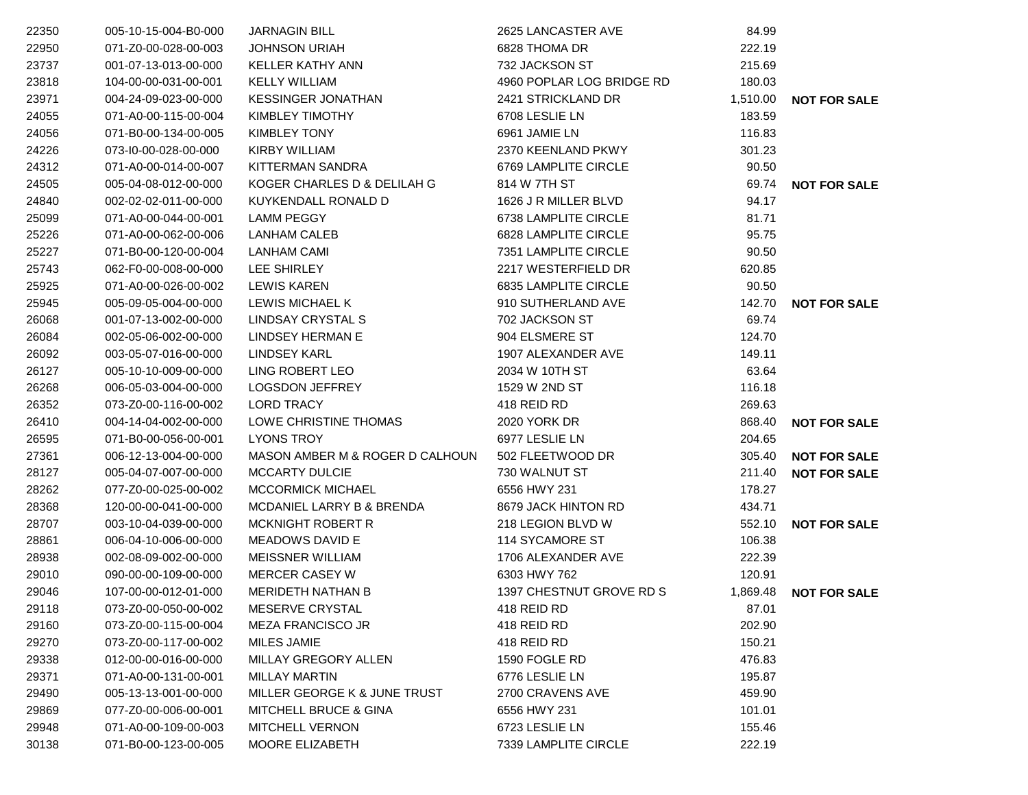| 22350 | 005-10-15-004-B0-000 | <b>JARNAGIN BILL</b>             | 2625 LANCASTER AVE        | 84.99    |                     |
|-------|----------------------|----------------------------------|---------------------------|----------|---------------------|
| 22950 | 071-Z0-00-028-00-003 | <b>JOHNSON URIAH</b>             | 6828 THOMA DR             | 222.19   |                     |
| 23737 | 001-07-13-013-00-000 | <b>KELLER KATHY ANN</b>          | 732 JACKSON ST            | 215.69   |                     |
| 23818 | 104-00-00-031-00-001 | <b>KELLY WILLIAM</b>             | 4960 POPLAR LOG BRIDGE RD | 180.03   |                     |
| 23971 | 004-24-09-023-00-000 | <b>KESSINGER JONATHAN</b>        | 2421 STRICKLAND DR        | 1,510.00 | <b>NOT FOR SALE</b> |
| 24055 | 071-A0-00-115-00-004 | <b>KIMBLEY TIMOTHY</b>           | 6708 LESLIE LN            | 183.59   |                     |
| 24056 | 071-B0-00-134-00-005 | <b>KIMBLEY TONY</b>              | 6961 JAMIE LN             | 116.83   |                     |
| 24226 | 073-I0-00-028-00-000 | KIRBY WILLIAM                    | 2370 KEENLAND PKWY        | 301.23   |                     |
| 24312 | 071-A0-00-014-00-007 | <b>KITTERMAN SANDRA</b>          | 6769 LAMPLITE CIRCLE      | 90.50    |                     |
| 24505 | 005-04-08-012-00-000 | KOGER CHARLES D & DELILAH G      | 814 W 7TH ST              | 69.74    | <b>NOT FOR SALE</b> |
| 24840 | 002-02-02-011-00-000 | KUYKENDALL RONALD D              | 1626 J R MILLER BLVD      | 94.17    |                     |
| 25099 | 071-A0-00-044-00-001 | <b>LAMM PEGGY</b>                | 6738 LAMPLITE CIRCLE      | 81.71    |                     |
| 25226 | 071-A0-00-062-00-006 | <b>LANHAM CALEB</b>              | 6828 LAMPLITE CIRCLE      | 95.75    |                     |
| 25227 | 071-B0-00-120-00-004 | <b>LANHAM CAMI</b>               | 7351 LAMPLITE CIRCLE      | 90.50    |                     |
| 25743 | 062-F0-00-008-00-000 | LEE SHIRLEY                      | 2217 WESTERFIELD DR       | 620.85   |                     |
| 25925 | 071-A0-00-026-00-002 | <b>LEWIS KAREN</b>               | 6835 LAMPLITE CIRCLE      | 90.50    |                     |
| 25945 | 005-09-05-004-00-000 | LEWIS MICHAEL K                  | 910 SUTHERLAND AVE        | 142.70   | <b>NOT FOR SALE</b> |
| 26068 | 001-07-13-002-00-000 | LINDSAY CRYSTAL S                | 702 JACKSON ST            | 69.74    |                     |
| 26084 | 002-05-06-002-00-000 | LINDSEY HERMAN E                 | 904 ELSMERE ST            | 124.70   |                     |
| 26092 | 003-05-07-016-00-000 | <b>LINDSEY KARL</b>              | 1907 ALEXANDER AVE        | 149.11   |                     |
| 26127 | 005-10-10-009-00-000 | LING ROBERT LEO                  | 2034 W 10TH ST            | 63.64    |                     |
| 26268 | 006-05-03-004-00-000 | <b>LOGSDON JEFFREY</b>           | 1529 W 2ND ST             | 116.18   |                     |
| 26352 | 073-Z0-00-116-00-002 | <b>LORD TRACY</b>                | 418 REID RD               | 269.63   |                     |
| 26410 | 004-14-04-002-00-000 | LOWE CHRISTINE THOMAS            | <b>2020 YORK DR</b>       | 868.40   | <b>NOT FOR SALE</b> |
| 26595 | 071-B0-00-056-00-001 | <b>LYONS TROY</b>                | 6977 LESLIE LN            | 204.65   |                     |
| 27361 | 006-12-13-004-00-000 | MASON AMBER M & ROGER D CALHOUN  | 502 FLEETWOOD DR          | 305.40   | <b>NOT FOR SALE</b> |
| 28127 | 005-04-07-007-00-000 | <b>MCCARTY DULCIE</b>            | 730 WALNUT ST             | 211.40   | <b>NOT FOR SALE</b> |
| 28262 | 077-Z0-00-025-00-002 | <b>MCCORMICK MICHAEL</b>         | 6556 HWY 231              | 178.27   |                     |
| 28368 | 120-00-00-041-00-000 | MCDANIEL LARRY B & BRENDA        | 8679 JACK HINTON RD       | 434.71   |                     |
| 28707 | 003-10-04-039-00-000 | <b>MCKNIGHT ROBERT R</b>         | 218 LEGION BLVD W         | 552.10   | <b>NOT FOR SALE</b> |
| 28861 | 006-04-10-006-00-000 | <b>MEADOWS DAVID E</b>           | 114 SYCAMORE ST           | 106.38   |                     |
| 28938 | 002-08-09-002-00-000 | <b>MEISSNER WILLIAM</b>          | 1706 ALEXANDER AVE        | 222.39   |                     |
| 29010 | 090-00-00-109-00-000 | <b>MERCER CASEY W</b>            | 6303 HWY 762              | 120.91   |                     |
| 29046 | 107-00-00-012-01-000 | <b>MERIDETH NATHAN B</b>         | 1397 CHESTNUT GROVE RD S  | 1,869.48 | <b>NOT FOR SALE</b> |
| 29118 | 073-Z0-00-050-00-002 | MESERVE CRYSTAL                  | 418 REID RD               | 87.01    |                     |
| 29160 | 073-Z0-00-115-00-004 | <b>MEZA FRANCISCO JR</b>         | 418 REID RD               | 202.90   |                     |
| 29270 | 073-Z0-00-117-00-002 | MILES JAMIE                      | 418 REID RD               | 150.21   |                     |
| 29338 | 012-00-00-016-00-000 | MILLAY GREGORY ALLEN             | 1590 FOGLE RD             | 476.83   |                     |
| 29371 | 071-A0-00-131-00-001 | <b>MILLAY MARTIN</b>             | 6776 LESLIE LN            | 195.87   |                     |
| 29490 | 005-13-13-001-00-000 | MILLER GEORGE K & JUNE TRUST     | 2700 CRAVENS AVE          | 459.90   |                     |
| 29869 | 077-Z0-00-006-00-001 | <b>MITCHELL BRUCE &amp; GINA</b> | 6556 HWY 231              | 101.01   |                     |
| 29948 | 071-A0-00-109-00-003 | <b>MITCHELL VERNON</b>           | 6723 LESLIE LN            | 155.46   |                     |
| 30138 | 071-B0-00-123-00-005 | MOORE ELIZABETH                  | 7339 LAMPLITE CIRCLE      | 222.19   |                     |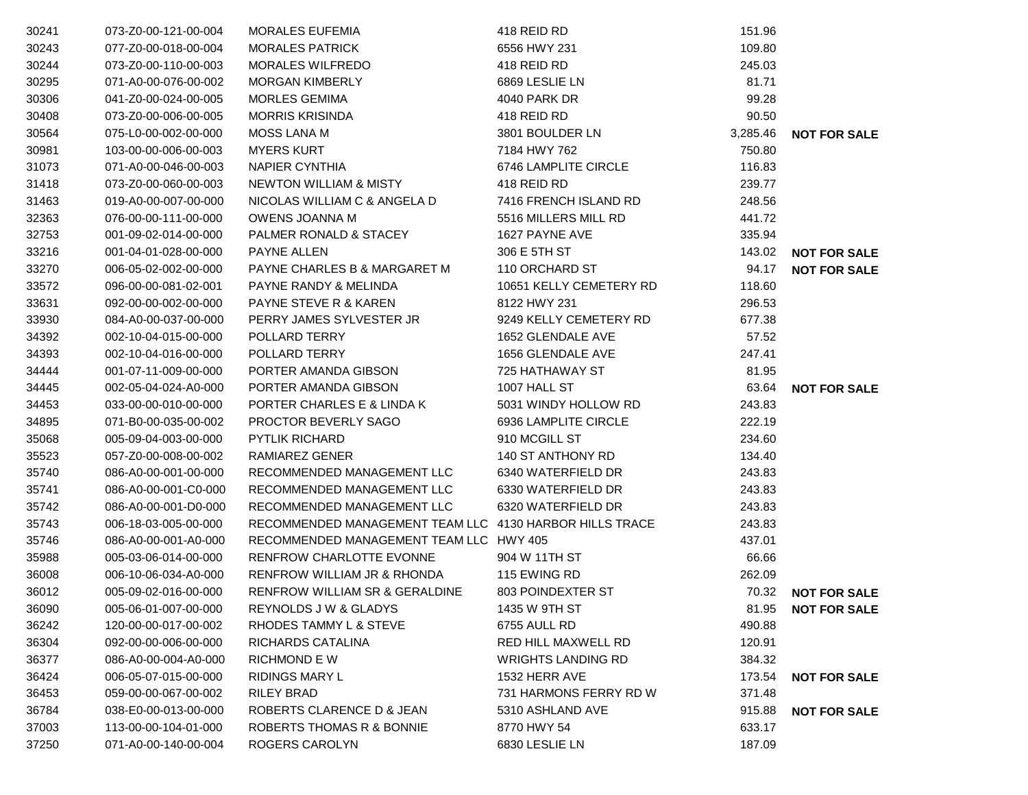| 30241 | 073-Z0-00-121-00-004 | <b>MORALES EUFEMIA</b>                                  | 418 REID RD               | 151.96   |                     |
|-------|----------------------|---------------------------------------------------------|---------------------------|----------|---------------------|
| 30243 | 077-Z0-00-018-00-004 | <b>MORALES PATRICK</b>                                  | 6556 HWY 231              | 109.80   |                     |
| 30244 | 073-Z0-00-110-00-003 | <b>MORALES WILFREDO</b>                                 | 418 REID RD               | 245.03   |                     |
| 30295 | 071-A0-00-076-00-002 | <b>MORGAN KIMBERLY</b>                                  | 6869 LESLIE LN            | 81.71    |                     |
| 30306 | 041-Z0-00-024-00-005 | <b>MORLES GEMIMA</b>                                    | <b>4040 PARK DR</b>       | 99.28    |                     |
| 30408 | 073-Z0-00-006-00-005 | <b>MORRIS KRISINDA</b>                                  | 418 REID RD               | 90.50    |                     |
| 30564 | 075-L0-00-002-00-000 | <b>MOSS LANA M</b>                                      | 3801 BOULDER LN           | 3,285.46 | <b>NOT FOR SALE</b> |
| 30981 | 103-00-00-006-00-003 | <b>MYERS KURT</b>                                       | 7184 HWY 762              | 750.80   |                     |
| 31073 | 071-A0-00-046-00-003 | <b>NAPIER CYNTHIA</b>                                   | 6746 LAMPLITE CIRCLE      | 116.83   |                     |
| 31418 | 073-Z0-00-060-00-003 | <b>NEWTON WILLIAM &amp; MISTY</b>                       | 418 REID RD               | 239.77   |                     |
| 31463 | 019-A0-00-007-00-000 | NICOLAS WILLIAM C & ANGELA D                            | 7416 FRENCH ISLAND RD     | 248.56   |                     |
| 32363 | 076-00-00-111-00-000 | OWENS JOANNA M                                          | 5516 MILLERS MILL RD      | 441.72   |                     |
| 32753 | 001-09-02-014-00-000 | PALMER RONALD & STACEY                                  | 1627 PAYNE AVE            | 335.94   |                     |
| 33216 | 001-04-01-028-00-000 | <b>PAYNE ALLEN</b>                                      | 306 E 5TH ST              | 143.02   | <b>NOT FOR SALE</b> |
| 33270 | 006-05-02-002-00-000 | PAYNE CHARLES B & MARGARET M                            | 110 ORCHARD ST            | 94.17    | <b>NOT FOR SALE</b> |
| 33572 | 096-00-00-081-02-001 | PAYNE RANDY & MELINDA                                   | 10651 KELLY CEMETERY RD   | 118.60   |                     |
| 33631 | 092-00-00-002-00-000 | <b>PAYNE STEVE R &amp; KAREN</b>                        | 8122 HWY 231              | 296.53   |                     |
| 33930 | 084-A0-00-037-00-000 | PERRY JAMES SYLVESTER JR                                | 9249 KELLY CEMETERY RD    | 677.38   |                     |
| 34392 | 002-10-04-015-00-000 | POLLARD TERRY                                           | 1652 GLENDALE AVE         | 57.52    |                     |
| 34393 | 002-10-04-016-00-000 | POLLARD TERRY                                           | 1656 GLENDALE AVE         | 247.41   |                     |
| 34444 | 001-07-11-009-00-000 | PORTER AMANDA GIBSON                                    | 725 HATHAWAY ST           | 81.95    |                     |
| 34445 | 002-05-04-024-A0-000 | PORTER AMANDA GIBSON                                    | 1007 HALL ST              | 63.64    | <b>NOT FOR SALE</b> |
| 34453 | 033-00-00-010-00-000 | PORTER CHARLES E & LINDA K                              | 5031 WINDY HOLLOW RD      | 243.83   |                     |
| 34895 | 071-B0-00-035-00-002 | PROCTOR BEVERLY SAGO                                    | 6936 LAMPLITE CIRCLE      | 222.19   |                     |
| 35068 | 005-09-04-003-00-000 | PYTLIK RICHARD                                          | 910 MCGILL ST             | 234.60   |                     |
| 35523 | 057-Z0-00-008-00-002 | RAMIAREZ GENER                                          | 140 ST ANTHONY RD         | 134.40   |                     |
| 35740 | 086-A0-00-001-00-000 | RECOMMENDED MANAGEMENT LLC                              | 6340 WATERFIELD DR        | 243.83   |                     |
| 35741 | 086-A0-00-001-C0-000 | RECOMMENDED MANAGEMENT LLC                              | 6330 WATERFIELD DR        | 243.83   |                     |
| 35742 | 086-A0-00-001-D0-000 | RECOMMENDED MANAGEMENT LLC                              | 6320 WATERFIELD DR        | 243.83   |                     |
| 35743 | 006-18-03-005-00-000 | RECOMMENDED MANAGEMENT TEAM LLC 4130 HARBOR HILLS TRACE |                           | 243.83   |                     |
| 35746 | 086-A0-00-001-A0-000 | RECOMMENDED MANAGEMENT TEAM LLC HWY 405                 |                           | 437.01   |                     |
| 35988 | 005-03-06-014-00-000 | <b>RENFROW CHARLOTTE EVONNE</b>                         | 904 W 11TH ST             | 66.66    |                     |
| 36008 | 006-10-06-034-A0-000 | RENFROW WILLIAM JR & RHONDA                             | 115 EWING RD              | 262.09   |                     |
| 36012 | 005-09-02-016-00-000 | RENFROW WILLIAM SR & GERALDINE                          | 803 POINDEXTER ST         | 70.32    | <b>NOT FOR SALE</b> |
| 36090 | 005-06-01-007-00-000 | REYNOLDS J W & GLADYS                                   | 1435 W 9TH ST             | 81.95    | <b>NOT FOR SALE</b> |
| 36242 | 120-00-00-017-00-002 | RHODES TAMMY L & STEVE                                  | 6755 AULL RD              | 490.88   |                     |
| 36304 | 092-00-00-006-00-000 | RICHARDS CATALINA                                       | RED HILL MAXWELL RD       | 120.91   |                     |
| 36377 | 086-A0-00-004-A0-000 | <b>RICHMOND E W</b>                                     | <b>WRIGHTS LANDING RD</b> | 384.32   |                     |
| 36424 | 006-05-07-015-00-000 | <b>RIDINGS MARY L</b>                                   | 1532 HERR AVE             | 173.54   | <b>NOT FOR SALE</b> |
| 36453 | 059-00-00-067-00-002 | <b>RILEY BRAD</b>                                       | 731 HARMONS FERRY RD W    | 371.48   |                     |
| 36784 | 038-E0-00-013-00-000 | ROBERTS CLARENCE D & JEAN                               | 5310 ASHLAND AVE          | 915.88   | <b>NOT FOR SALE</b> |
| 37003 | 113-00-00-104-01-000 | ROBERTS THOMAS R & BONNIE                               | 8770 HWY 54               | 633.17   |                     |
| 37250 | 071-A0-00-140-00-004 | ROGERS CAROLYN                                          | 6830 LESLIE LN            | 187.09   |                     |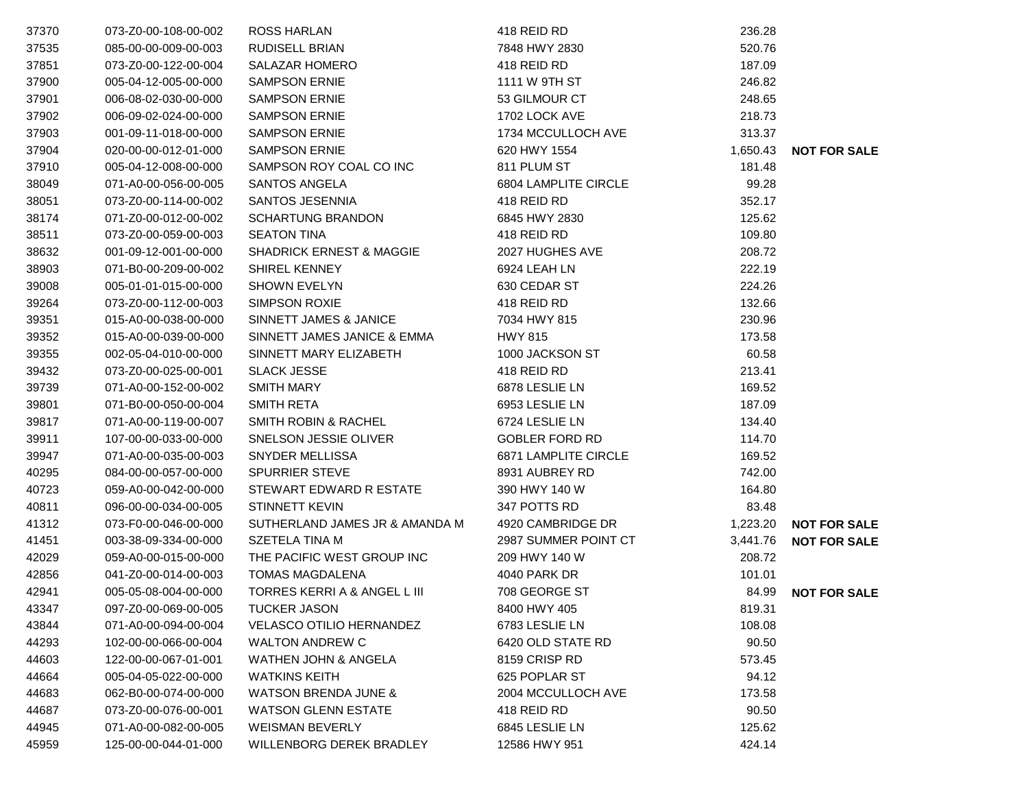| 37370 | 073-Z0-00-108-00-002 | <b>ROSS HARLAN</b>                  | 418 REID RD                 | 236.28   |                     |
|-------|----------------------|-------------------------------------|-----------------------------|----------|---------------------|
| 37535 | 085-00-00-009-00-003 | <b>RUDISELL BRIAN</b>               | 7848 HWY 2830               | 520.76   |                     |
| 37851 | 073-Z0-00-122-00-004 | <b>SALAZAR HOMERO</b>               | 418 REID RD                 | 187.09   |                     |
| 37900 | 005-04-12-005-00-000 | <b>SAMPSON ERNIE</b>                | 1111 W 9TH ST               | 246.82   |                     |
| 37901 | 006-08-02-030-00-000 | <b>SAMPSON ERNIE</b>                | 53 GILMOUR CT               | 248.65   |                     |
| 37902 | 006-09-02-024-00-000 | <b>SAMPSON ERNIE</b>                | 1702 LOCK AVE               | 218.73   |                     |
| 37903 | 001-09-11-018-00-000 | <b>SAMPSON ERNIE</b>                | 1734 MCCULLOCH AVE          | 313.37   |                     |
| 37904 | 020-00-00-012-01-000 | <b>SAMPSON ERNIE</b>                | 620 HWY 1554                | 1,650.43 | <b>NOT FOR SALE</b> |
| 37910 | 005-04-12-008-00-000 | SAMPSON ROY COAL CO INC             | 811 PLUM ST                 | 181.48   |                     |
| 38049 | 071-A0-00-056-00-005 | SANTOS ANGELA                       | 6804 LAMPLITE CIRCLE        | 99.28    |                     |
| 38051 | 073-Z0-00-114-00-002 | SANTOS JESENNIA                     | 418 REID RD                 | 352.17   |                     |
| 38174 | 071-Z0-00-012-00-002 | <b>SCHARTUNG BRANDON</b>            | 6845 HWY 2830               | 125.62   |                     |
| 38511 | 073-Z0-00-059-00-003 | <b>SEATON TINA</b>                  | 418 REID RD                 | 109.80   |                     |
| 38632 | 001-09-12-001-00-000 | <b>SHADRICK ERNEST &amp; MAGGIE</b> | 2027 HUGHES AVE             | 208.72   |                     |
| 38903 | 071-B0-00-209-00-002 | <b>SHIREL KENNEY</b>                | 6924 LEAH LN                | 222.19   |                     |
| 39008 | 005-01-01-015-00-000 | <b>SHOWN EVELYN</b>                 | 630 CEDAR ST                | 224.26   |                     |
| 39264 | 073-Z0-00-112-00-003 | <b>SIMPSON ROXIE</b>                | 418 REID RD                 | 132.66   |                     |
| 39351 | 015-A0-00-038-00-000 | SINNETT JAMES & JANICE              | 7034 HWY 815                | 230.96   |                     |
| 39352 | 015-A0-00-039-00-000 | SINNETT JAMES JANICE & EMMA         | <b>HWY 815</b>              | 173.58   |                     |
| 39355 | 002-05-04-010-00-000 | SINNETT MARY ELIZABETH              | 1000 JACKSON ST             | 60.58    |                     |
| 39432 | 073-Z0-00-025-00-001 | <b>SLACK JESSE</b>                  | 418 REID RD                 | 213.41   |                     |
| 39739 | 071-A0-00-152-00-002 | <b>SMITH MARY</b>                   | 6878 LESLIE LN              | 169.52   |                     |
| 39801 | 071-B0-00-050-00-004 | <b>SMITH RETA</b>                   | 6953 LESLIE LN              | 187.09   |                     |
| 39817 | 071-A0-00-119-00-007 | <b>SMITH ROBIN &amp; RACHEL</b>     | 6724 LESLIE LN              | 134.40   |                     |
| 39911 | 107-00-00-033-00-000 | SNELSON JESSIE OLIVER               | <b>GOBLER FORD RD</b>       | 114.70   |                     |
| 39947 | 071-A0-00-035-00-003 | SNYDER MELLISSA                     | <b>6871 LAMPLITE CIRCLE</b> | 169.52   |                     |
| 40295 | 084-00-00-057-00-000 | <b>SPURRIER STEVE</b>               | 8931 AUBREY RD              | 742.00   |                     |
| 40723 | 059-A0-00-042-00-000 | STEWART EDWARD R ESTATE             | 390 HWY 140 W               | 164.80   |                     |
| 40811 | 096-00-00-034-00-005 | <b>STINNETT KEVIN</b>               | 347 POTTS RD                | 83.48    |                     |
| 41312 | 073-F0-00-046-00-000 | SUTHERLAND JAMES JR & AMANDA M      | 4920 CAMBRIDGE DR           | 1,223.20 | <b>NOT FOR SALE</b> |
| 41451 | 003-38-09-334-00-000 | SZETELA TINA M                      | 2987 SUMMER POINT CT        | 3,441.76 | <b>NOT FOR SALE</b> |
| 42029 | 059-A0-00-015-00-000 | THE PACIFIC WEST GROUP INC          | 209 HWY 140 W               | 208.72   |                     |
| 42856 | 041-Z0-00-014-00-003 | <b>TOMAS MAGDALENA</b>              | 4040 PARK DR                | 101.01   |                     |
| 42941 | 005-05-08-004-00-000 | TORRES KERRI A & ANGEL L III        | 708 GEORGE ST               | 84.99    | <b>NOT FOR SALE</b> |
| 43347 | 097-Z0-00-069-00-005 | <b>TUCKER JASON</b>                 | 8400 HWY 405                | 819.31   |                     |
| 43844 | 071-A0-00-094-00-004 | <b>VELASCO OTILIO HERNANDEZ</b>     | 6783 LESLIE LN              | 108.08   |                     |
| 44293 | 102-00-00-066-00-004 | <b>WALTON ANDREW C</b>              | 6420 OLD STATE RD           | 90.50    |                     |
| 44603 | 122-00-00-067-01-001 | WATHEN JOHN & ANGELA                | 8159 CRISP RD               | 573.45   |                     |
| 44664 | 005-04-05-022-00-000 | <b>WATKINS KEITH</b>                | 625 POPLAR ST               | 94.12    |                     |
| 44683 | 062-B0-00-074-00-000 | WATSON BRENDA JUNE &                | 2004 MCCULLOCH AVE          | 173.58   |                     |
| 44687 | 073-Z0-00-076-00-001 | <b>WATSON GLENN ESTATE</b>          | 418 REID RD                 | 90.50    |                     |
| 44945 | 071-A0-00-082-00-005 | <b>WEISMAN BEVERLY</b>              | 6845 LESLIE LN              | 125.62   |                     |
| 45959 | 125-00-00-044-01-000 | WILLENBORG DEREK BRADLEY            | 12586 HWY 951               | 424.14   |                     |